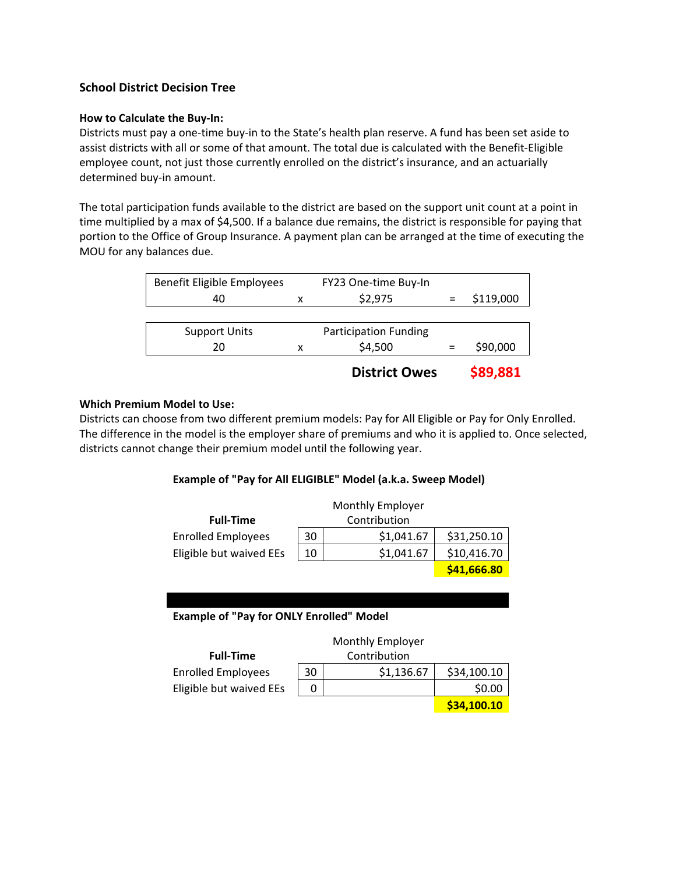# **School District Decision Tree**

## **How to Calculate the Buy‐In:**

Districts must pay a one‐time buy‐in to the State's health plan reserve. A fund has been set aside to assist districts with all or some of that amount. The total due is calculated with the Benefit‐Eligible employee count, not just those currently enrolled on the district's insurance, and an actuarially determined buy‐in amount.

The total participation funds available to the district are based on the support unit count at a point in time multiplied by a max of \$4,500. If a balance due remains, the district is responsible for paying that portion to the Office of Group Insurance. A payment plan can be arranged at the time of executing the MOU for any balances due.

| Benefit Eligible Employees |   | FY23 One-time Buy-In         |           |
|----------------------------|---|------------------------------|-----------|
| 40                         | x | \$2,975                      | \$119,000 |
|                            |   |                              |           |
| <b>Support Units</b>       |   | <b>Participation Funding</b> |           |
| 20                         | x | \$4,500                      | \$90,000  |
|                            |   | <b>District Owes</b>         | \$89,881  |

## **Which Premium Model to Use:**

Districts can choose from two different premium models: Pay for All Eligible or Pay for Only Enrolled. The difference in the model is the employer share of premiums and who it is applied to. Once selected, districts cannot change their premium model until the following year.

## **Example of "Pay for All ELIGIBLE" Model (a.k.a. Sweep Model)**

|                           |    | Monthly Employer |             |
|---------------------------|----|------------------|-------------|
| <b>Full-Time</b>          |    | Contribution     |             |
| <b>Enrolled Employees</b> | 30 | \$1,041.67       | \$31,250.10 |
| Eligible but waived EEs   | 10 | \$1,041.67       | \$10,416.70 |
|                           |    |                  | \$41,666.80 |

## **Example of "Pay for ONLY Enrolled" Model**

l

|                           |    | Monthly Employer |             |
|---------------------------|----|------------------|-------------|
| <b>Full-Time</b>          |    | Contribution     |             |
| <b>Enrolled Employees</b> | 30 | \$1,136.67       | \$34,100.10 |
| Eligible but waived EEs   | O  |                  | \$0.00      |
|                           |    |                  | \$34,100.10 |